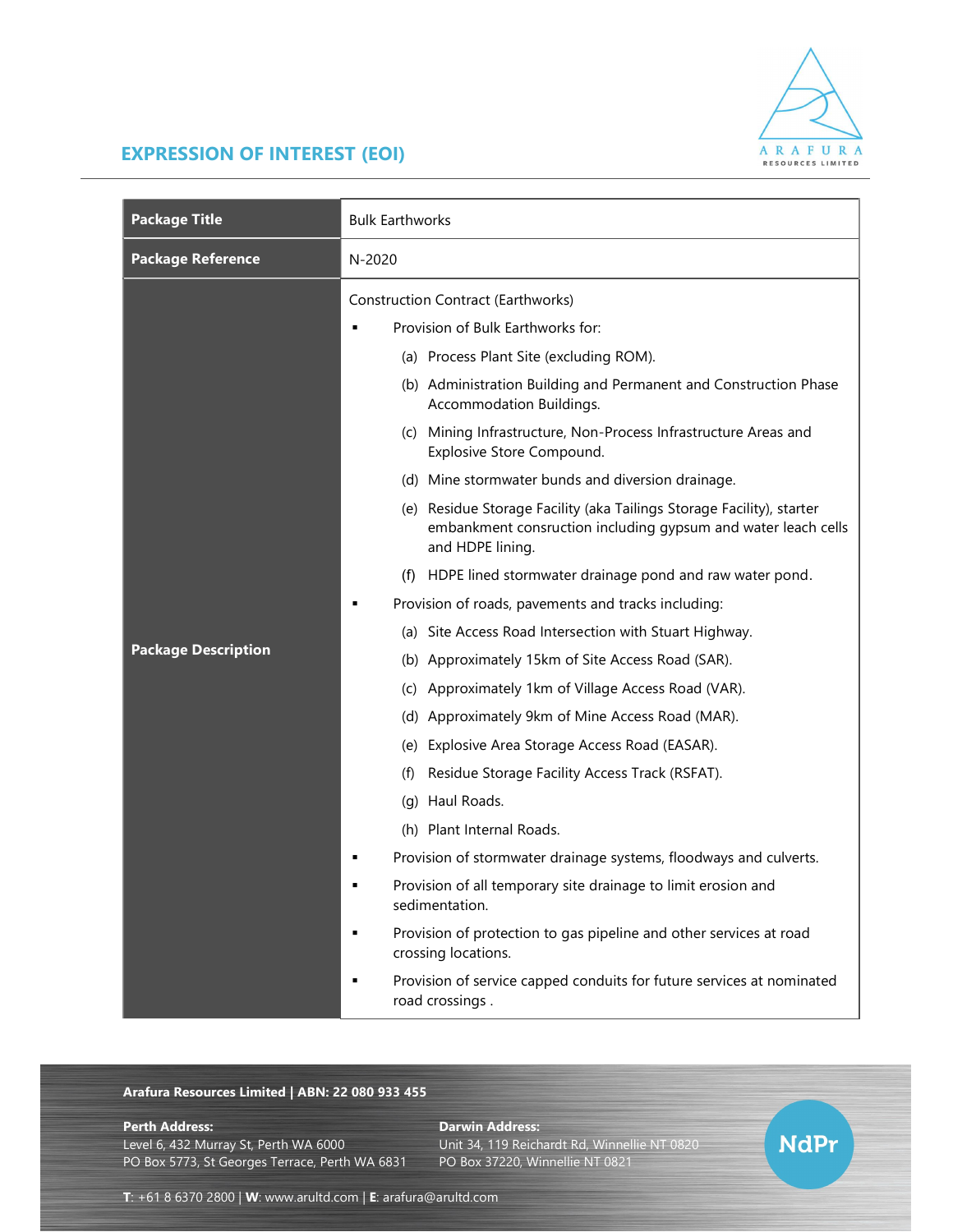

**NdPr** 

## EXPRESSION OF INTEREST (EOI)

| <b>Package Title</b>       | <b>Bulk Earthworks</b>                                                                                                                                                                                                                                                                                                                                                                                                                                                                                                                                                                                                                                                                                                                                                                                                                                                                                                                                                                                                                                                                                                                                                                                                                                                                                                                                                                                                             |
|----------------------------|------------------------------------------------------------------------------------------------------------------------------------------------------------------------------------------------------------------------------------------------------------------------------------------------------------------------------------------------------------------------------------------------------------------------------------------------------------------------------------------------------------------------------------------------------------------------------------------------------------------------------------------------------------------------------------------------------------------------------------------------------------------------------------------------------------------------------------------------------------------------------------------------------------------------------------------------------------------------------------------------------------------------------------------------------------------------------------------------------------------------------------------------------------------------------------------------------------------------------------------------------------------------------------------------------------------------------------------------------------------------------------------------------------------------------------|
| <b>Package Reference</b>   | N-2020                                                                                                                                                                                                                                                                                                                                                                                                                                                                                                                                                                                                                                                                                                                                                                                                                                                                                                                                                                                                                                                                                                                                                                                                                                                                                                                                                                                                                             |
| <b>Package Description</b> | <b>Construction Contract (Earthworks)</b><br>Provision of Bulk Earthworks for:<br>(a) Process Plant Site (excluding ROM).<br>(b) Administration Building and Permanent and Construction Phase<br>Accommodation Buildings.<br>(c) Mining Infrastructure, Non-Process Infrastructure Areas and<br>Explosive Store Compound.<br>(d) Mine stormwater bunds and diversion drainage.<br>(e) Residue Storage Facility (aka Tailings Storage Facility), starter<br>embankment consruction including gypsum and water leach cells<br>and HDPE lining.<br>HDPE lined stormwater drainage pond and raw water pond.<br>(t)<br>Provision of roads, pavements and tracks including:<br>(a) Site Access Road Intersection with Stuart Highway.<br>(b) Approximately 15km of Site Access Road (SAR).<br>Approximately 1km of Village Access Road (VAR).<br>(c)<br>(d) Approximately 9km of Mine Access Road (MAR).<br>Explosive Area Storage Access Road (EASAR).<br>(e)<br>Residue Storage Facility Access Track (RSFAT).<br>(f)<br>Haul Roads.<br>(q)<br>Plant Internal Roads.<br>(h)<br>Provision of stormwater drainage systems, floodways and culverts.<br>Provision of all temporary site drainage to limit erosion and<br>sedimentation.<br>Provision of protection to gas pipeline and other services at road<br>٠<br>crossing locations.<br>Provision of service capped conduits for future services at nominated<br>п<br>road crossings. |

## Arafura Resources Limited | ABN: 22 080 933 455

Level 6, 432 Murray St, Perth WA 6000 Unit 34, 119 Reichardt Rd, Winnellie NT 0820 PO Box 5773, St Georges Terrace, Perth WA 6831

Perth Address: Darwin Address:

T: +61 8 6370 2800 | W: www.arultd.com | E: arafura@arultd.com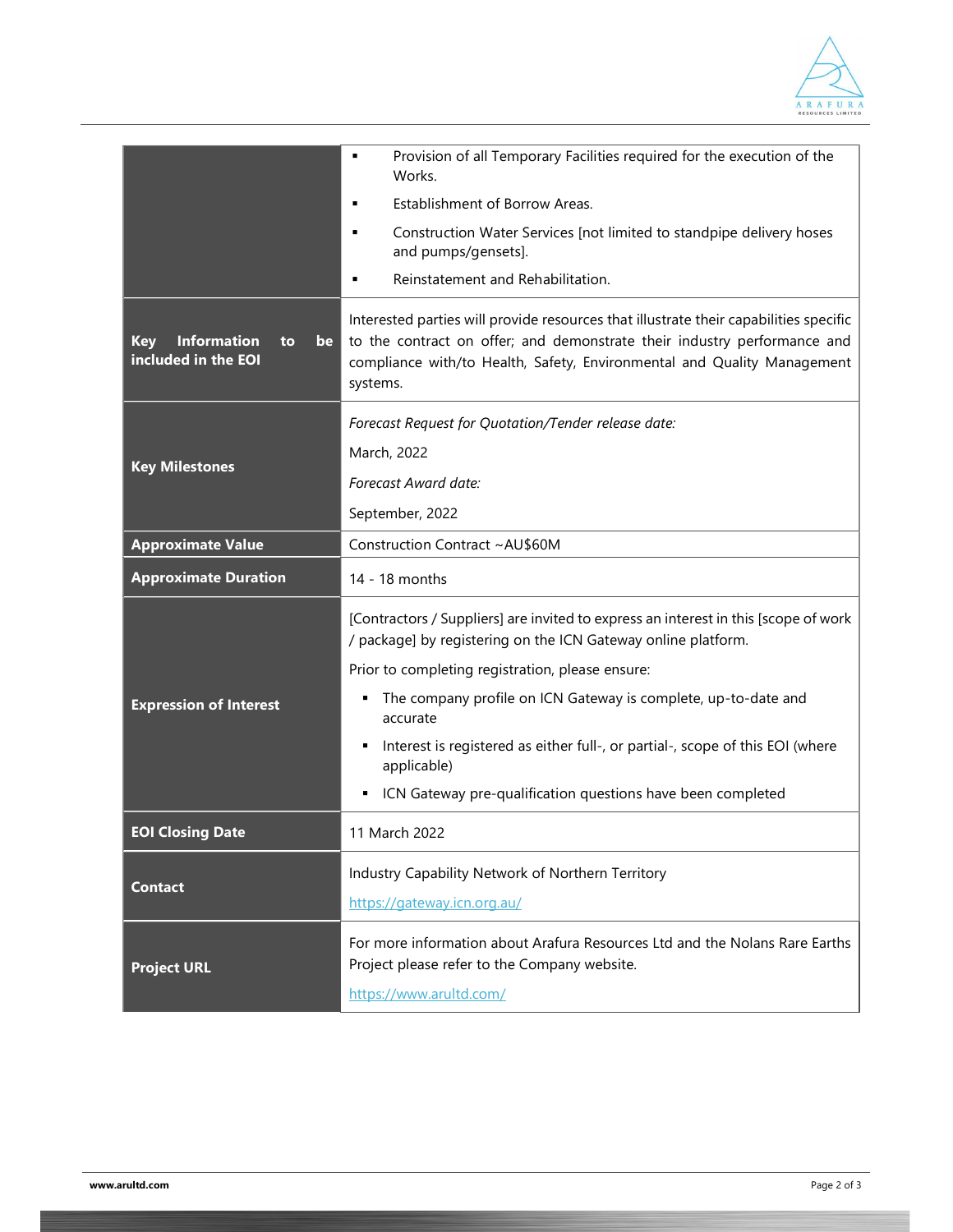

|                                                              | Provision of all Temporary Facilities required for the execution of the<br>Works.                                                                                                                                                                        |
|--------------------------------------------------------------|----------------------------------------------------------------------------------------------------------------------------------------------------------------------------------------------------------------------------------------------------------|
|                                                              | Establishment of Borrow Areas.                                                                                                                                                                                                                           |
|                                                              | Construction Water Services [not limited to standpipe delivery hoses<br>and pumps/gensets].                                                                                                                                                              |
|                                                              | Reinstatement and Rehabilitation.                                                                                                                                                                                                                        |
| Information<br>be<br><b>Key</b><br>to<br>included in the EOI | Interested parties will provide resources that illustrate their capabilities specific<br>to the contract on offer; and demonstrate their industry performance and<br>compliance with/to Health, Safety, Environmental and Quality Management<br>systems. |
|                                                              | Forecast Request for Quotation/Tender release date:                                                                                                                                                                                                      |
|                                                              | March, 2022                                                                                                                                                                                                                                              |
| <b>Key Milestones</b>                                        | Forecast Award date:                                                                                                                                                                                                                                     |
|                                                              | September, 2022                                                                                                                                                                                                                                          |
| <b>Approximate Value</b>                                     | Construction Contract ~AU\$60M                                                                                                                                                                                                                           |
| <b>Approximate Duration</b>                                  | 14 - 18 months                                                                                                                                                                                                                                           |
|                                                              | [Contractors / Suppliers] are invited to express an interest in this [scope of work<br>/ package] by registering on the ICN Gateway online platform.                                                                                                     |
| <b>Expression of Interest</b>                                | Prior to completing registration, please ensure:                                                                                                                                                                                                         |
|                                                              | The company profile on ICN Gateway is complete, up-to-date and<br>accurate                                                                                                                                                                               |
|                                                              | Interest is registered as either full-, or partial-, scope of this EOI (where<br>applicable)                                                                                                                                                             |
|                                                              | ICN Gateway pre-qualification questions have been completed<br>٠                                                                                                                                                                                         |
| <b>EOI Closing Date</b>                                      | 11 March 2022                                                                                                                                                                                                                                            |
| <b>Contact</b>                                               | Industry Capability Network of Northern Territory                                                                                                                                                                                                        |
|                                                              | https://gateway.icn.org.au/                                                                                                                                                                                                                              |
| <b>Project URL</b>                                           | For more information about Arafura Resources Ltd and the Nolans Rare Farths<br>Project please refer to the Company website.<br>https://www.arultd.com/                                                                                                   |